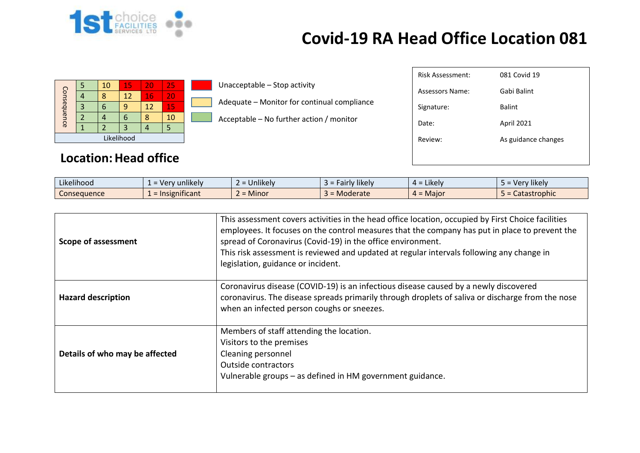

| Consequ<br>$\overline{\mathbf{D}}$<br>nce | 4<br>ာ | 10 <sup>°</sup><br>8<br>$\mathbf b$ | 15<br>12<br>9<br>$\sigma$ | 20<br>16<br>12 | <b>257</b><br> 20 <br>15<br>10 | Unacceptable - Stop activity<br>Adequate - Monitor for continual compliance<br>Acceptable – No further action / monitor | Risk Assessment:<br>Assessors Name:<br>Signature:<br>Date: | 081 Covid 19<br>Gabi Balint<br>Balint<br>April 2021 |
|-------------------------------------------|--------|-------------------------------------|---------------------------|----------------|--------------------------------|-------------------------------------------------------------------------------------------------------------------------|------------------------------------------------------------|-----------------------------------------------------|
|                                           |        |                                     | Likelihood                |                |                                |                                                                                                                         | Review:                                                    | As guidance changes                                 |
|                                           |        |                                     |                           |                |                                |                                                                                                                         |                                                            |                                                     |

#### **Location: Head office**

| $\cdots$<br>$\cdots$<br>Likelihood | $\cdots$<br>unlikely<br>$=$ Ver | $\cdots$<br><b>Jnlikely</b> | <b>Fairly likely</b><br>- - | $\cdots$<br>$4 =$ Likely | .<br>Very likely |
|------------------------------------|---------------------------------|-----------------------------|-----------------------------|--------------------------|------------------|
| Consequence                        | .<br>$\Gamma$ = Insignificant   | <b>Minor</b>                | Moderate                    | $4 =$ Major              | Catastrophic     |

| Scope of assessment            | This assessment covers activities in the head office location, occupied by First Choice facilities<br>employees. It focuses on the control measures that the company has put in place to prevent the<br>spread of Coronavirus (Covid-19) in the office environment.<br>This risk assessment is reviewed and updated at regular intervals following any change in<br>legislation, guidance or incident. |
|--------------------------------|--------------------------------------------------------------------------------------------------------------------------------------------------------------------------------------------------------------------------------------------------------------------------------------------------------------------------------------------------------------------------------------------------------|
| <b>Hazard description</b>      | Coronavirus disease (COVID-19) is an infectious disease caused by a newly discovered<br>coronavirus. The disease spreads primarily through droplets of saliva or discharge from the nose<br>when an infected person coughs or sneezes.                                                                                                                                                                 |
| Details of who may be affected | Members of staff attending the location.<br>Visitors to the premises<br>Cleaning personnel<br><b>Outside contractors</b><br>Vulnerable groups - as defined in HM government guidance.                                                                                                                                                                                                                  |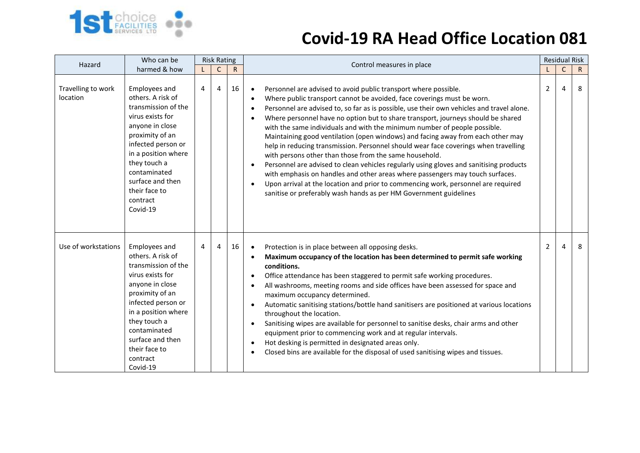

| Hazard                         | Who can be                                                                                                                                                                                                                                                           | <b>Risk Rating</b> |              |              | Control measures in place                                                                                                                                                                                                                                                                                                                                                                                                                                                                                                                                                                                                                                                                                                                                                                                                                                                                                                                                                                                                                                      |                | <b>Residual Risk</b> |              |
|--------------------------------|----------------------------------------------------------------------------------------------------------------------------------------------------------------------------------------------------------------------------------------------------------------------|--------------------|--------------|--------------|----------------------------------------------------------------------------------------------------------------------------------------------------------------------------------------------------------------------------------------------------------------------------------------------------------------------------------------------------------------------------------------------------------------------------------------------------------------------------------------------------------------------------------------------------------------------------------------------------------------------------------------------------------------------------------------------------------------------------------------------------------------------------------------------------------------------------------------------------------------------------------------------------------------------------------------------------------------------------------------------------------------------------------------------------------------|----------------|----------------------|--------------|
|                                | harmed & how                                                                                                                                                                                                                                                         |                    | $\mathsf{C}$ | $\mathsf{R}$ |                                                                                                                                                                                                                                                                                                                                                                                                                                                                                                                                                                                                                                                                                                                                                                                                                                                                                                                                                                                                                                                                |                | $\mathsf C$          | $\mathsf{R}$ |
| Travelling to work<br>location | Employees and<br>others. A risk of<br>transmission of the<br>virus exists for<br>anyone in close<br>proximity of an<br>infected person or<br>in a position where<br>they touch a<br>contaminated<br>surface and then<br>their face to<br>contract<br>Covid-19        | 4                  | 4            | 16           | Personnel are advised to avoid public transport where possible.<br>$\bullet$<br>Where public transport cannot be avoided, face coverings must be worn.<br>$\bullet$<br>Personnel are advised to, so far as is possible, use their own vehicles and travel alone.<br>$\bullet$<br>Where personnel have no option but to share transport, journeys should be shared<br>$\bullet$<br>with the same individuals and with the minimum number of people possible.<br>Maintaining good ventilation (open windows) and facing away from each other may<br>help in reducing transmission. Personnel should wear face coverings when travelling<br>with persons other than those from the same household.<br>Personnel are advised to clean vehicles regularly using gloves and sanitising products<br>$\bullet$<br>with emphasis on handles and other areas where passengers may touch surfaces.<br>Upon arrival at the location and prior to commencing work, personnel are required<br>$\bullet$<br>sanitise or preferably wash hands as per HM Government guidelines | 2              | 4                    | 8            |
| Use of workstations            | <b>Employees and</b><br>others. A risk of<br>transmission of the<br>virus exists for<br>anyone in close<br>proximity of an<br>infected person or<br>in a position where<br>they touch a<br>contaminated<br>surface and then<br>their face to<br>contract<br>Covid-19 | 4                  | 4            | 16           | Protection is in place between all opposing desks.<br>$\bullet$<br>Maximum occupancy of the location has been determined to permit safe working<br>$\bullet$<br>conditions.<br>Office attendance has been staggered to permit safe working procedures.<br>$\bullet$<br>All washrooms, meeting rooms and side offices have been assessed for space and<br>$\bullet$<br>maximum occupancy determined.<br>Automatic sanitising stations/bottle hand sanitisers are positioned at various locations<br>$\bullet$<br>throughout the location.<br>Sanitising wipes are available for personnel to sanitise desks, chair arms and other<br>$\bullet$<br>equipment prior to commencing work and at regular intervals.<br>Hot desking is permitted in designated areas only.<br>$\bullet$<br>Closed bins are available for the disposal of used sanitising wipes and tissues.<br>$\bullet$                                                                                                                                                                              | $\overline{2}$ | 4                    | 8            |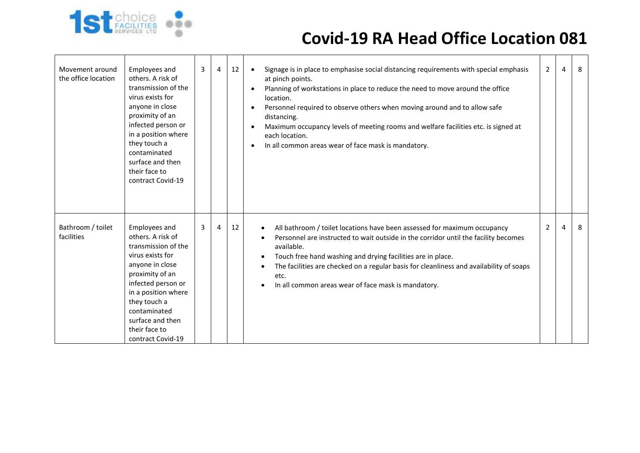

| Movement around<br>the office location | Employees and<br>others. A risk of<br>transmission of the<br>virus exists for<br>anyone in close<br>proximity of an<br>infected person or<br>in a position where<br>they touch a<br>contaminated<br>surface and then<br>their face to<br>contract Covid-19 | 3 | $\overline{4}$ | 12 | Signage is in place to emphasise social distancing requirements with special emphasis<br>$\bullet$<br>at pinch points.<br>Planning of workstations in place to reduce the need to move around the office<br>location.<br>Personnel required to observe others when moving around and to allow safe<br>distancing.<br>Maximum occupancy levels of meeting rooms and welfare facilities etc. is signed at<br>each location.<br>In all common areas wear of face mask is mandatory. | $\overline{2}$ | 4              | 8 |
|----------------------------------------|------------------------------------------------------------------------------------------------------------------------------------------------------------------------------------------------------------------------------------------------------------|---|----------------|----|----------------------------------------------------------------------------------------------------------------------------------------------------------------------------------------------------------------------------------------------------------------------------------------------------------------------------------------------------------------------------------------------------------------------------------------------------------------------------------|----------------|----------------|---|
| Bathroom / toilet<br>facilities        | Employees and<br>others. A risk of<br>transmission of the<br>virus exists for<br>anyone in close<br>proximity of an<br>infected person or<br>in a position where<br>they touch a<br>contaminated<br>surface and then<br>their face to<br>contract Covid-19 | 3 | 4              | 12 | All bathroom / toilet locations have been assessed for maximum occupancy<br>Personnel are instructed to wait outside in the corridor until the facility becomes<br>available.<br>Touch free hand washing and drying facilities are in place.<br>٠<br>The facilities are checked on a regular basis for cleanliness and availability of soaps<br>etc.<br>In all common areas wear of face mask is mandatory.                                                                      | 2              | $\overline{4}$ | 8 |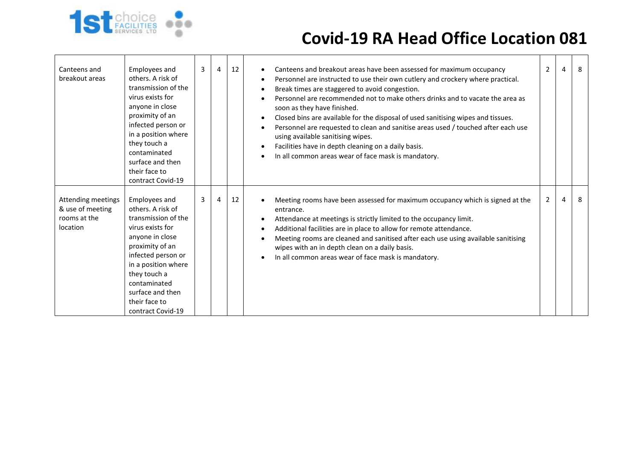

| Canteens and<br>breakout areas                                     | Employees and<br>others. A risk of<br>transmission of the<br>virus exists for<br>anyone in close<br>proximity of an<br>infected person or<br>in a position where<br>they touch a<br>contaminated<br>surface and then<br>their face to<br>contract Covid-19 | 3 | $\overline{4}$ | 12 | Canteens and breakout areas have been assessed for maximum occupancy<br>$\bullet$<br>Personnel are instructed to use their own cutlery and crockery where practical.<br>$\bullet$<br>Break times are staggered to avoid congestion.<br>Personnel are recommended not to make others drinks and to vacate the area as<br>soon as they have finished.<br>Closed bins are available for the disposal of used sanitising wipes and tissues.<br>$\bullet$<br>Personnel are requested to clean and sanitise areas used / touched after each use<br>using available sanitising wipes.<br>Facilities have in depth cleaning on a daily basis.<br>In all common areas wear of face mask is mandatory.<br>$\bullet$ | $\overline{2}$ | 4 | 8 |
|--------------------------------------------------------------------|------------------------------------------------------------------------------------------------------------------------------------------------------------------------------------------------------------------------------------------------------------|---|----------------|----|-----------------------------------------------------------------------------------------------------------------------------------------------------------------------------------------------------------------------------------------------------------------------------------------------------------------------------------------------------------------------------------------------------------------------------------------------------------------------------------------------------------------------------------------------------------------------------------------------------------------------------------------------------------------------------------------------------------|----------------|---|---|
| Attending meetings<br>& use of meeting<br>rooms at the<br>location | Employees and<br>others. A risk of<br>transmission of the<br>virus exists for<br>anyone in close<br>proximity of an<br>infected person or<br>in a position where<br>they touch a<br>contaminated<br>surface and then<br>their face to<br>contract Covid-19 | 3 | 4              | 12 | Meeting rooms have been assessed for maximum occupancy which is signed at the<br>entrance.<br>Attendance at meetings is strictly limited to the occupancy limit.<br>$\bullet$<br>Additional facilities are in place to allow for remote attendance.<br>$\bullet$<br>Meeting rooms are cleaned and sanitised after each use using available sanitising<br>wipes with an in depth clean on a daily basis.<br>In all common areas wear of face mask is mandatory.                                                                                                                                                                                                                                            | $\overline{2}$ | 4 | 8 |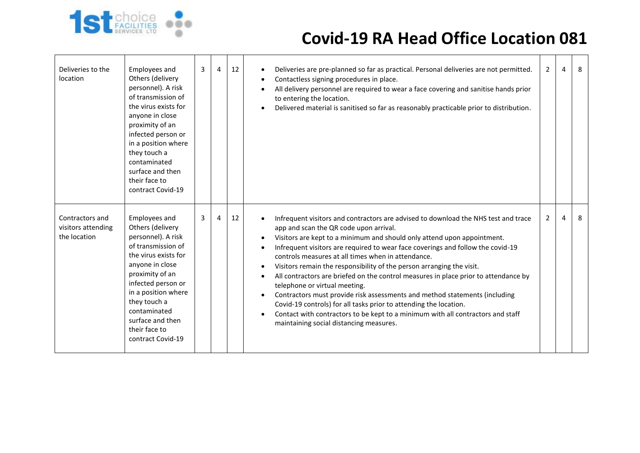

| Deliveries to the<br>location                         | Employees and<br>Others (delivery<br>personnel). A risk<br>of transmission of<br>the virus exists for<br>anyone in close<br>proximity of an<br>infected person or<br>in a position where<br>they touch a<br>contaminated<br>surface and then<br>their face to<br>contract Covid-19 | 3 | 4 | 12 | Deliveries are pre-planned so far as practical. Personal deliveries are not permitted.<br>Contactless signing procedures in place.<br>$\bullet$<br>All delivery personnel are required to wear a face covering and sanitise hands prior<br>to entering the location.<br>Delivered material is sanitised so far as reasonably practicable prior to distribution.                                                                                                                                                                                                                                                                                                                                                                                                                                                                                              | $\overline{2}$ | $\overline{a}$ | 8 |
|-------------------------------------------------------|------------------------------------------------------------------------------------------------------------------------------------------------------------------------------------------------------------------------------------------------------------------------------------|---|---|----|--------------------------------------------------------------------------------------------------------------------------------------------------------------------------------------------------------------------------------------------------------------------------------------------------------------------------------------------------------------------------------------------------------------------------------------------------------------------------------------------------------------------------------------------------------------------------------------------------------------------------------------------------------------------------------------------------------------------------------------------------------------------------------------------------------------------------------------------------------------|----------------|----------------|---|
| Contractors and<br>visitors attending<br>the location | Employees and<br>Others (delivery<br>personnel). A risk<br>of transmission of<br>the virus exists for<br>anyone in close<br>proximity of an<br>infected person or<br>in a position where<br>they touch a<br>contaminated<br>surface and then<br>their face to<br>contract Covid-19 | 3 | 4 | 12 | Infrequent visitors and contractors are advised to download the NHS test and trace<br>app and scan the QR code upon arrival.<br>Visitors are kept to a minimum and should only attend upon appointment.<br>$\bullet$<br>Infrequent visitors are required to wear face coverings and follow the covid-19<br>controls measures at all times when in attendance.<br>Visitors remain the responsibility of the person arranging the visit.<br>$\bullet$<br>All contractors are briefed on the control measures in place prior to attendance by<br>telephone or virtual meeting.<br>Contractors must provide risk assessments and method statements (including<br>Covid-19 controls) for all tasks prior to attending the location.<br>Contact with contractors to be kept to a minimum with all contractors and staff<br>maintaining social distancing measures. | $\overline{2}$ | 4              | 8 |